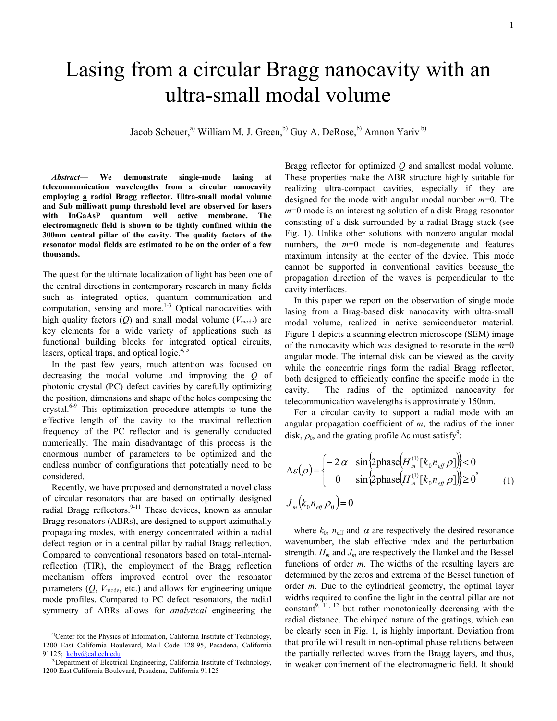## Lasing from a circular Bragg nanocavity with an ultra-small modal volume

Jacob Scheuer,<sup>a)</sup> William M. J. Green,<sup>b)</sup> Guy A. DeRose,<sup>b)</sup> Amnon Yariv<sup>b)</sup>

*Abstract***— We demonstrate single-mode lasing at telecommunication wavelengths from a circular nanocavity employing a radial Bragg reflector. Ultra-small modal volume and Sub milliwatt pump threshold level are observed for lasers with InGaAsP quantum well active membrane. The electromagnetic field is shown to be tightly confined within the 300nm central pillar of the cavity. The quality factors of the resonator modal fields are estimated to be on the order of a few thousands.**

The quest for the ultimate localization of light has been one of the central directions in contemporary research in many fields such as integrated optics, quantum communication and computation, sensing and more.<sup>1-3</sup> Optical nanocavities with high quality factors  $(Q)$  and small modal volume  $(V_{\text{mode}})$  are key elements for a wide variety of applications such as functional building blocks for integrated optical circuits, lasers, optical traps, and optical logic. $4, 5$ 

In the past few years, much attention was focused on decreasing the modal volume and improving the *Q* of photonic crystal (PC) defect cavities by carefully optimizing the position, dimensions and shape of the holes composing the crystal.6-9 This optimization procedure attempts to tune the effective length of the cavity to the maximal reflection frequency of the PC reflector and is generally conducted numerically. The main disadvantage of this process is the enormous number of parameters to be optimized and the endless number of configurations that potentially need to be considered.

Recently, we have proposed and demonstrated a novel class of circular resonators that are based on optimally designed radial Bragg reflectors. $9-11$  These devices, known as annular Bragg resonators (ABRs), are designed to support azimuthally propagating modes, with energy concentrated within a radial defect region or in a central pillar by radial Bragg reflection. Compared to conventional resonators based on total-internalreflection (TIR), the employment of the Bragg reflection mechanism offers improved control over the resonator parameters  $(O, V_{\text{mode}})$ , etc.) and allows for engineering unique mode profiles. Compared to PC defect resonators, the radial symmetry of ABRs allows for *analytical* engineering the

Bragg reflector for optimized *Q* and smallest modal volume. These properties make the ABR structure highly suitable for realizing ultra-compact cavities, especially if they are designed for the mode with angular modal number *m*=0. The *m*=0 mode is an interesting solution of a disk Bragg resonator consisting of a disk surrounded by a radial Bragg stack (see Fig. 1). Unlike other solutions with nonzero angular modal numbers, the  $m=0$  mode is non-degenerate and features maximum intensity at the center of the device. This mode cannot be supported in conventional cavities because the propagation direction of the waves is perpendicular to the cavity interfaces.

In this paper we report on the observation of single mode lasing from a Brag-based disk nanocavity with ultra-small modal volume, realized in active semiconductor material. Figure 1 depicts a scanning electron microscope (SEM) image of the nanocavity which was designed to resonate in the *m*=0 angular mode. The internal disk can be viewed as the cavity while the concentric rings form the radial Bragg reflector. both designed to efficiently confine the specific mode in the cavity. The radius of the optimized nanocavity for telecommunication wavelengths is approximately 150nm.

For a circular cavity to support a radial mode with an angular propagation coefficient of *m*, the radius of the inner disk,  $\rho_0$ , and the grating profile  $\Delta \varepsilon$  must satisfy<sup>9</sup>:

$$
\Delta \varepsilon(\rho) = \begin{cases}\n-2|\alpha| & \sin\left\{2\text{phase}\left(H_m^{(1)}[k_0 n_{\text{eff}} \rho]\right)\right\} < 0 \\
0 & \sin\left\{2\text{phase}\left(H_m^{(1)}[k_0 n_{\text{eff}} \rho]\right)\right\} \ge 0\n\end{cases}
$$
\n
$$
J_m(k_0 n_{\text{eff}} \rho_0) = 0
$$
\n(1)

where  $k_0$ ,  $n_{\text{eff}}$  and  $\alpha$  are respectively the desired resonance wavenumber, the slab effective index and the perturbation strength.  $H_m$  and  $J_m$  are respectively the Hankel and the Bessel functions of order *m*. The widths of the resulting layers are determined by the zeros and extrema of the Bessel function of order *m*. Due to the cylindrical geometry, the optimal layer widths required to confine the light in the central pillar are not constant<sup>9, 11, 12</sup> but rather monotonically decreasing with the radial distance. The chirped nature of the gratings, which can be clearly seen in Fig. 1, is highly important. Deviation from that profile will result in non-optimal phase relations between the partially reflected waves from the Bragg layers, and thus, in weaker confinement of the electromagnetic field. It should

a)Center for the Physics of Information, California Institute of Technology, 1200 East California Boulevard, Mail Code 128-95, Pasadena, California 91125; [koby@caltech.edu](mailto:koby@caltech.edu)

b)Department of Electrical Engineering, California Institute of Technology, 1200 East California Boulevard, Pasadena, California 91125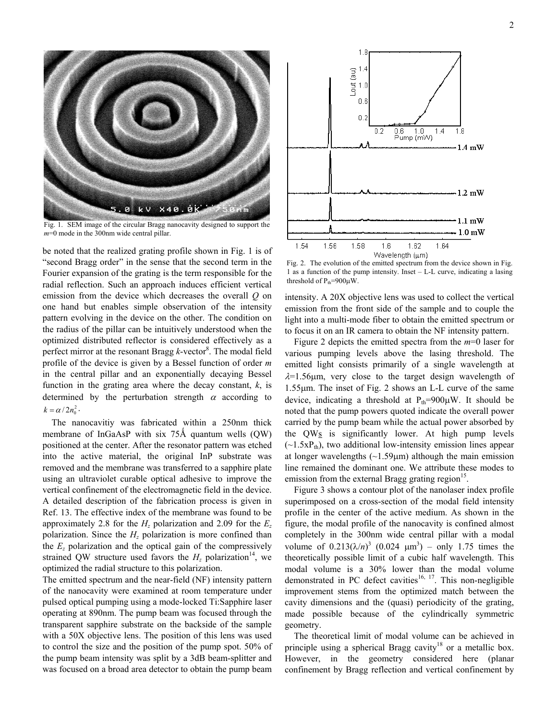

Fig. 1. SEM image of the circular Bragg nanocavity designed to support the *m*=0 mode in the 300nm wide central pillar.

be noted that the realized grating profile shown in Fig. 1 is of "second Bragg order" in the sense that the second term in the Fourier expansion of the grating is the term responsible for the radial reflection. Such an approach induces efficient vertical emission from the device which decreases the overall *Q* on one hand but enables simple observation of the intensity pattern evolving in the device on the other. The condition on the radius of the pillar can be intuitively understood when the optimized distributed reflector is considered effectively as a perfect mirror at the resonant Bragg *k*-vector<sup>8</sup>. The modal field profile of the device is given by a Bessel function of order *m* in the central pillar and an exponentially decaying Bessel function in the grating area where the decay constant, *k*, is determined by the perturbation strength  $\alpha$  according to  $k = \alpha / 2 n_0^2$ .

The nanocavitiy was fabricated within a 250nm thick membrane of InGaAsP with six  $75\text{\AA}$  quantum wells  $(QW)$ positioned at the center. After the resonator pattern was etched into the active material, the original InP substrate was removed and the membrane was transferred to a sapphire plate using an ultraviolet curable optical adhesive to improve the vertical confinement of the electromagnetic field in the device. A detailed description of the fabrication process is given in Ref. 13. The effective index of the membrane was found to be approximately 2.8 for the  $H<sub>z</sub>$  polarization and 2.09 for the  $E<sub>z</sub>$ polarization. Since the  $H<sub>z</sub>$  polarization is more confined than the  $E<sub>z</sub>$  polarization and the optical gain of the compressively strained QW structure used favors the  $H<sub>z</sub>$  polarization<sup>14</sup>, we optimized the radial structure to this polarization.

The emitted spectrum and the near-field (NF) intensity pattern of the nanocavity were examined at room temperature under pulsed optical pumping using a mode-locked Ti:Sapphire laser operating at 890nm. The pump beam was focused through the transparent sapphire substrate on the backside of the sample with a 50X objective lens. The position of this lens was used to control the size and the position of the pump spot. 50% of the pump beam intensity was split by a 3dB beam-splitter and was focused on a broad area detector to obtain the pump beam



Fig. 2. The evolution of the emitted spectrum from the device shown in Fig. 1 as a function of the pump intensity. Inset – L-L curve, indicating a lasing threshold of  $P_{th}$ =900 $\mu$ W.

intensity. A 20X objective lens was used to collect the vertical emission from the front side of the sample and to couple the light into a multi-mode fiber to obtain the emitted spectrum or to focus it on an IR camera to obtain the NF intensity pattern.

Figure 2 depicts the emitted spectra from the *m*=0 laser for various pumping levels above the lasing threshold. The emitted light consists primarily of a single wavelength at  $\lambda$ =1.56 $\mu$ m, very close to the target design wavelength of 1.55µm. The inset of Fig. 2 shows an L-L curve of the same device, indicating a threshold at  $P_{th}=900\mu$ W. It should be noted that the pump powers quoted indicate the overall power carried by the pump beam while the actual power absorbed by the  $QW_S$  is significantly lower. At high pump levels  $(\sim 1.5xP_{th})$ , two additional low-intensity emission lines appear at longer wavelengths  $(\sim 1.59 \mu m)$  although the main emission line remained the dominant one. We attribute these modes to emission from the external Bragg grating region<sup>15</sup>.

Figure 3 shows a contour plot of the nanolaser index profile superimposed on a cross-section of the modal field intensity profile in the center of the active medium. As shown in the figure, the modal profile of the nanocavity is confined almost completely in the 300nm wide central pillar with a modal volume of  $0.213(\lambda/n)^3$   $(0.024 \mu m^3)$  – only 1.75 times the theoretically possible limit of a cubic half wavelength. This modal volume is a 30% lower than the modal volume demonstrated in PC defect cavities $16, 17$ . This non-negligible improvement stems from the optimized match between the cavity dimensions and the (quasi) periodicity of the grating, made possible because of the cylindrically symmetric geometry.

The theoretical limit of modal volume can be achieved in principle using a spherical Bragg cavity<sup>18</sup> or a metallic box. However, in the geometry considered here (planar confinement by Bragg reflection and vertical confinement by